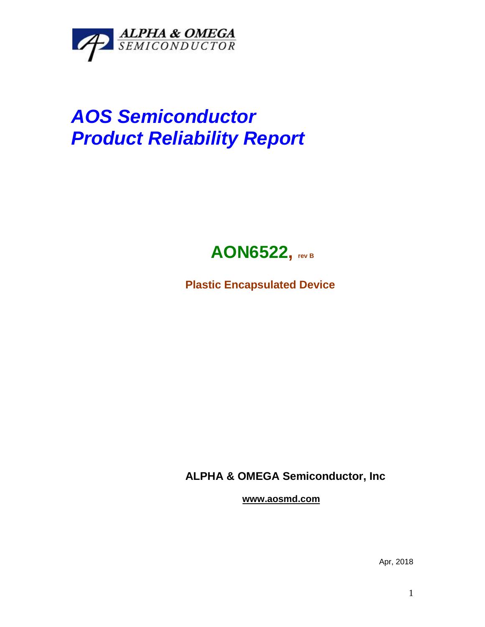

## *AOS Semiconductor Product Reliability Report*



**Plastic Encapsulated Device**

**ALPHA & OMEGA Semiconductor, Inc**

**www.aosmd.com**

Apr, 2018